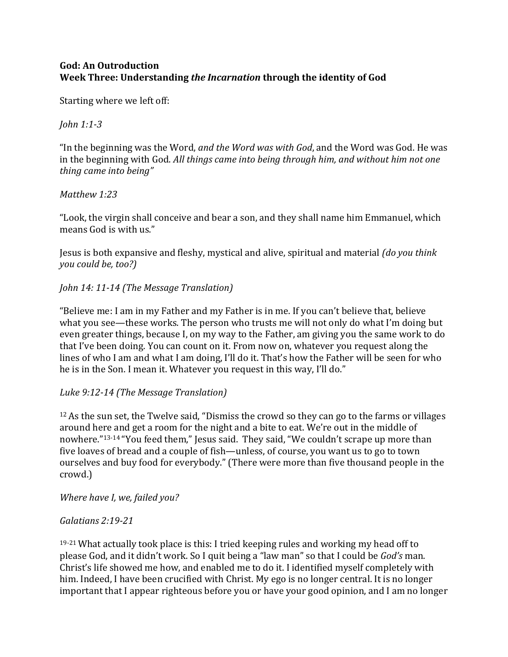# **God: An Outroduction Week Three: Understanding** *the Incarnation* **through the identity of God**

Starting where we left off:

*John 1:1‐3*

"In the beginning was the Word, *and the Word was with God*, and the Word was God. He was in the beginning with God. *All things came into being through him, and without him not one thing came into being"*

#### *Matthew 1:23*

"Look, the virgin shall conceive and bear a son, and they shall name him Emmanuel, which means God is with us."

Jesus is both expansive and fleshy, mystical and alive, spiritual and material *(do you think you could be, too?)*

# *John 14: 11‐14 (The Message Translation)*

"Believe me: I am in my Father and my Father is in me. If you can't believe that, believe what you see—these works. The person who trusts me will not only do what I'm doing but even greater things, because I, on my way to the Father, am giving you the same work to do that I've been doing. You can count on it. From now on, whatever you request along the lines of who I am and what I am doing, I'll do it. That's how the Father will be seen for who he is in the Son. I mean it. Whatever you request in this way, I'll do."

# *Luke 9:12‐14 (The Message Translation)*

 $12$  As the sun set, the Twelve said, "Dismiss the crowd so they can go to the farms or villages around here and get a room for the night and a bite to eat. We're out in the middle of nowhere."13-14 "You feed them," Jesus said. They said, "We couldn't scrape up more than five loaves of bread and a couple of fish—unless, of course, you want us to go to town ourselves and buy food for everybody." (There were more than five thousand people in the crowd.)

*Where have I, we, failed you?*

# *Galatians 2:19‐21*

19-21 What actually took place is this: I tried keeping rules and working my head off to please God, and it didn't work. So I quit being a "law man" so that I could be *God's* man. Christ's life showed me how, and enabled me to do it. I identified myself completely with him. Indeed, I have been crucified with Christ. My ego is no longer central. It is no longer important that I appear righteous before you or have your good opinion, and I am no longer